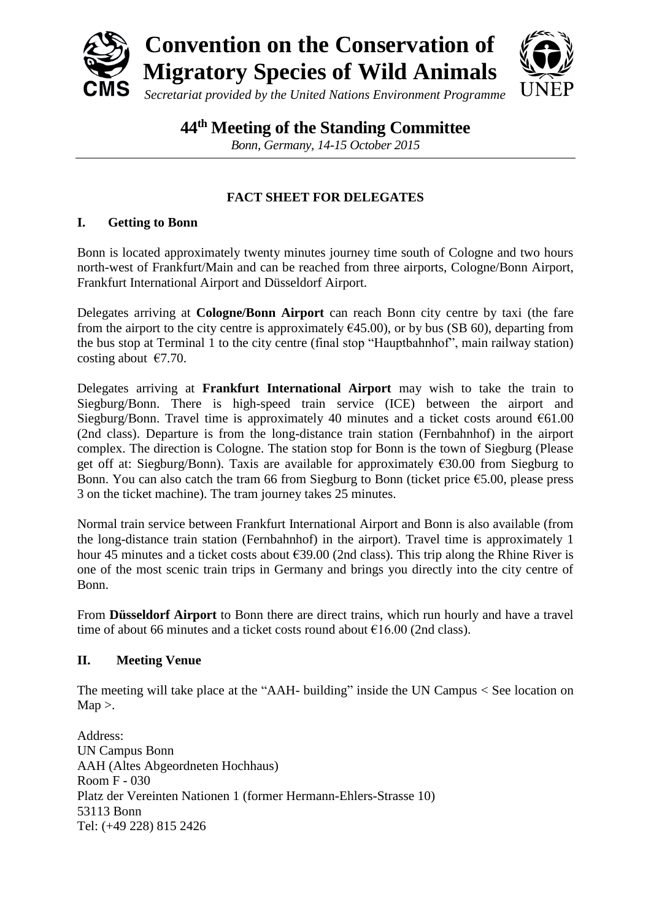

**44 th Meeting of the Standing Committee**

*Bonn, Germany, 14-15 October 2015*

# **FACT SHEET FOR DELEGATES**

# **I. Getting to Bonn**

Bonn is located approximately twenty minutes journey time south of Cologne and two hours north-west of Frankfurt/Main and can be reached from three airports, Cologne/Bonn Airport, Frankfurt International Airport and Düsseldorf Airport.

Delegates arriving at **Cologne/Bonn Airport** can reach Bonn city centre by taxi (the fare from the airport to the city centre is approximately  $\epsilon$ 45.00), or by bus (SB 60), departing from the bus stop at Terminal 1 to the city centre (final stop "Hauptbahnhof", main railway station) costing about  $\epsilon$ 7.70.

Delegates arriving at **Frankfurt International Airport** may wish to take the train to Siegburg/Bonn. There is high-speed train service (ICE) between the airport and Siegburg/Bonn. Travel time is approximately 40 minutes and a ticket costs around  $661.00$ (2nd class). Departure is from the long-distance train station (Fernbahnhof) in the airport complex. The direction is Cologne. The station stop for Bonn is the town of Siegburg (Please get off at: Siegburg/Bonn). Taxis are available for approximately €30.00 from Siegburg to Bonn. You can also catch the tram 66 from Siegburg to Bonn (ticket price  $\epsilon$ 5.00, please press 3 on the ticket machine). The tram journey takes 25 minutes.

Normal train service between Frankfurt International Airport and Bonn is also available (from the long-distance train station (Fernbahnhof) in the airport). Travel time is approximately 1 hour 45 minutes and a ticket costs about €39.00 (2nd class). This trip along the Rhine River is one of the most scenic train trips in Germany and brings you directly into the city centre of Bonn.

From **Düsseldorf Airport** to Bonn there are direct trains, which run hourly and have a travel time of about 66 minutes and a ticket costs round about  $\epsilon$ 16.00 (2nd class).

# **II. Meeting Venue**

The meeting will take place at the "AAH- building" inside the UN Campus < [See location on](http://maps.google.com/maps/ms?ie=UTF&msa=0&msid=201882451536412256342.0004bd66b3b6a790f96f1)   $Map$ .

Address: UN Campus Bonn AAH (Altes Abgeordneten Hochhaus) Room F - 030 Platz der Vereinten Nationen 1 (former Hermann-Ehlers-Strasse 10) 53113 Bonn Tel: (+49 228) 815 2426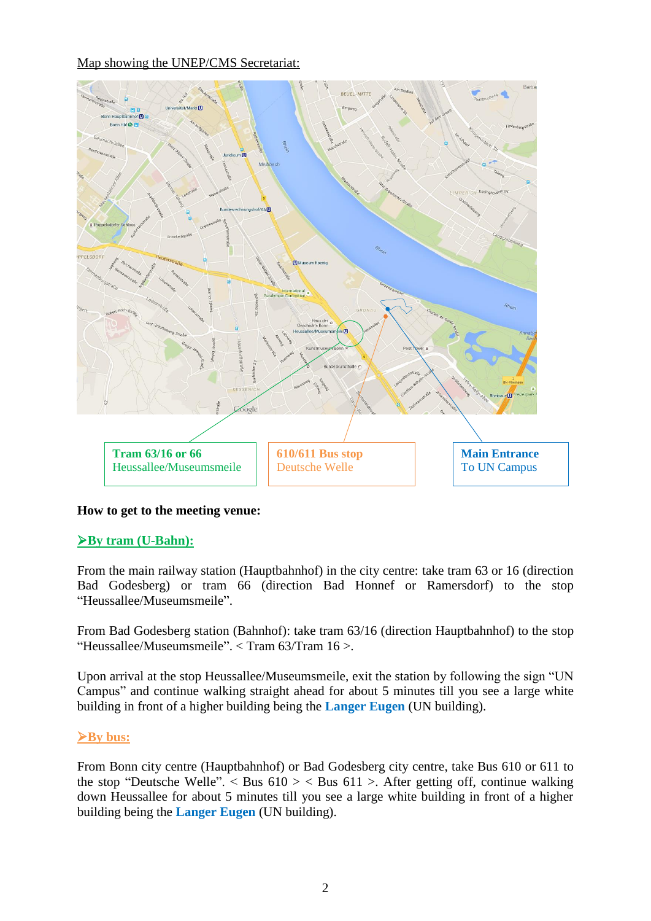#### Map showing the UNEP/CMS Secretariat:



# **How to get to the meeting venue:**

# **By tram (U-Bahn):**

From the main railway station (Hauptbahnhof) in the city centre: take tram 63 or 16 (direction Bad Godesberg) or tram 66 (direction Bad Honnef or Ramersdorf) to the stop "Heussallee/Museumsmeile".

From Bad Godesberg station (Bahnhof): take tram 63/16 (direction Hauptbahnhof) to the stop "Heussallee/Museumsmeile". < [Tram 63/Tram 16](http://www.vrsinfo.de/fileadmin/Dateien/minis/s_Linie_63_16.pdf) >.

Upon arrival at the stop Heussallee/Museumsmeile, exit the station by following the sign "UN Campus" and continue walking straight ahead for about 5 minutes till you see a large white building in front of a higher building being the **Langer Eugen** (UN building).

#### **By bus:**

From Bonn city centre (Hauptbahnhof) or Bad Godesberg city centre, take Bus 610 or 611 to the stop "Deutsche Welle".  $\leq$  [Bus 610](http://www.vrsinfo.de/fileadmin/Dateien/minis/b_Linie_610.pdf)  $\geq$   $\leq$  [Bus 611](http://www.vrsinfo.de/fileadmin/Dateien/minis/b_Linie_611.pdf)  $\geq$ . After getting off, continue walking down Heussallee for about 5 minutes till you see a large white building in front of a higher building being the **Langer Eugen** (UN building).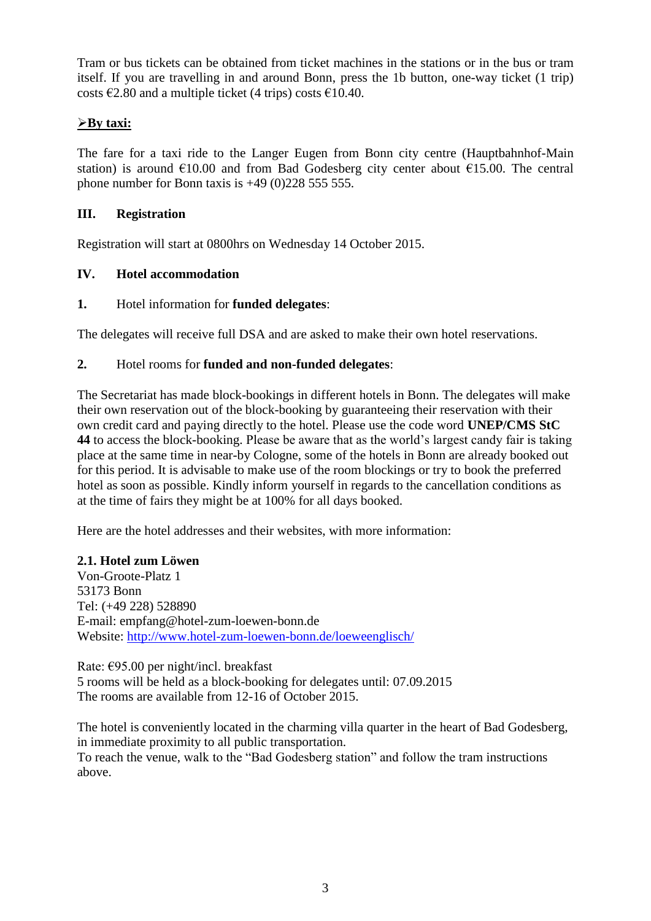Tram or bus tickets can be obtained from ticket machines in the stations or in the bus or tram itself. If you are travelling in and around Bonn, press the 1b button, one-way ticket (1 trip) costs  $\epsilon$ 2.80 and a multiple ticket (4 trips) costs  $\epsilon$ 10.40.

# **By taxi:**

The fare for a taxi ride to the Langer Eugen from Bonn city centre (Hauptbahnhof-Main station) is around  $\epsilon$ 10.00 and from Bad Godesberg city center about  $\epsilon$ 15.00. The central phone number for Bonn taxis is  $+49$  (0)228 555 555.

# **III. Registration**

Registration will start at 0800hrs on Wednesday 14 October 2015.

# **IV. Hotel accommodation**

### **1.** Hotel information for **funded delegates**:

The delegates will receive full DSA and are asked to make their own hotel reservations.

### **2.** Hotel rooms for **funded and non-funded delegates**:

The Secretariat has made block-bookings in different hotels in Bonn. The delegates will make their own reservation out of the block-booking by guaranteeing their reservation with their own credit card and paying directly to the hotel. Please use the code word **UNEP/CMS StC 44** to access the block-booking. Please be aware that as the world's largest candy fair is taking place at the same time in near-by Cologne, some of the hotels in Bonn are already booked out for this period. It is advisable to make use of the room blockings or try to book the preferred hotel as soon as possible. Kindly inform yourself in regards to the cancellation conditions as at the time of fairs they might be at 100% for all days booked.

Here are the hotel addresses and their websites, with more information:

#### **2.1. Hotel zum Löwen**

Von-Groote-Platz 1 53173 Bonn Tel: (+49 228) 528890 E-mail: empfang@hotel-zum-loewen-bonn.de Website:<http://www.hotel-zum-loewen-bonn.de/loeweenglisch/>

Rate: €95.00 per night/incl. breakfast 5 rooms will be held as a block-booking for delegates until: 07.09.2015 The rooms are available from 12-16 of October 2015.

The hotel is conveniently located in the charming villa quarter in the heart of Bad Godesberg, in immediate proximity to all public transportation.

To reach the venue, walk to the "Bad Godesberg station" and follow the tram instructions above.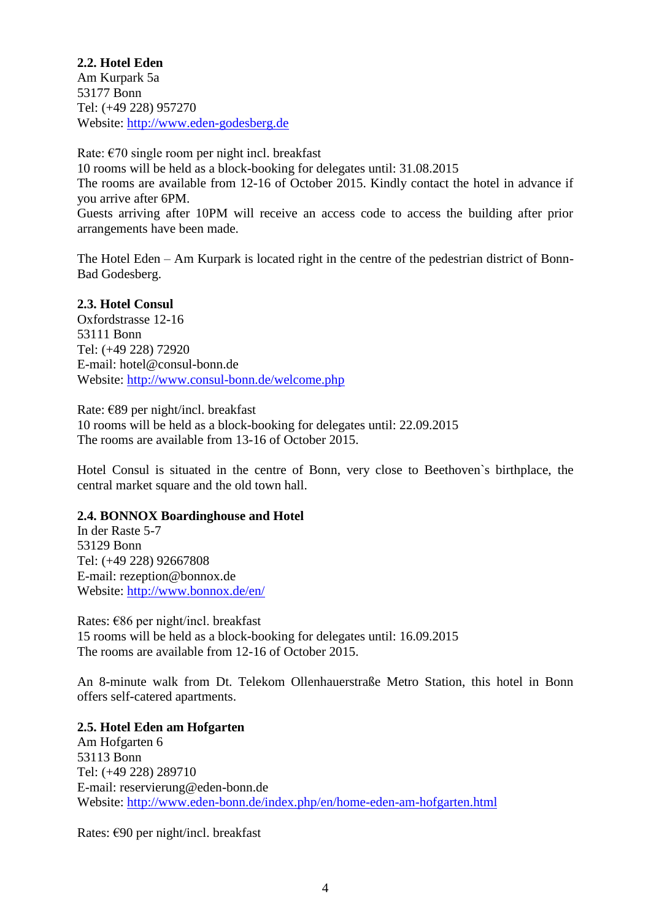**2.2. Hotel Eden** Am Kurpark 5a 53177 Bonn Tel: (+49 228) 957270 Website: [http://www.eden-godesberg.de](http://www.eden-godesberg.de/)

Rate:  $\epsilon$ 70 single room per night incl. breakfast 10 rooms will be held as a block-booking for delegates until: 31.08.2015 The rooms are available from 12-16 of October 2015. Kindly contact the hotel in advance if you arrive after 6PM. Guests arriving after 10PM will receive an access code to access the building after prior arrangements have been made.

The Hotel Eden – Am Kurpark is located right in the centre of the pedestrian district of Bonn-Bad Godesberg.

### **2.3. Hotel Consul**

Oxfordstrasse 12-16 53111 Bonn Tel: (+49 228) 72920 E-mail: hotel@consul-bonn.de Website:<http://www.consul-bonn.de/welcome.php>

Rate: €89 per night/incl. breakfast 10 rooms will be held as a block-booking for delegates until: 22.09.2015 The rooms are available from 13-16 of October 2015.

Hotel Consul is situated in the centre of Bonn, very close to Beethoven`s birthplace, the central market square and the old town hall.

#### **2.4. BONNOX Boardinghouse and Hotel**

In der Raste 5-7 53129 Bonn Tel: (+49 228) 92667808 E-mail: rezeption@bonnox.de Website:<http://www.bonnox.de/en/>

Rates: €86 per night/incl. breakfast 15 rooms will be held as a block-booking for delegates until: 16.09.2015 The rooms are available from 12-16 of October 2015.

An 8-minute walk from Dt. Telekom Ollenhauerstraße Metro Station, this hotel in Bonn offers self-catered apartments.

#### **2.5. Hotel Eden am Hofgarten**

Am Hofgarten 6 53113 Bonn Tel: (+49 228) 289710 E-mail: reservierung@eden-bonn.de Website: <http://www.eden-bonn.de/index.php/en/home-eden-am-hofgarten.html>

Rates: €90 per night/incl. breakfast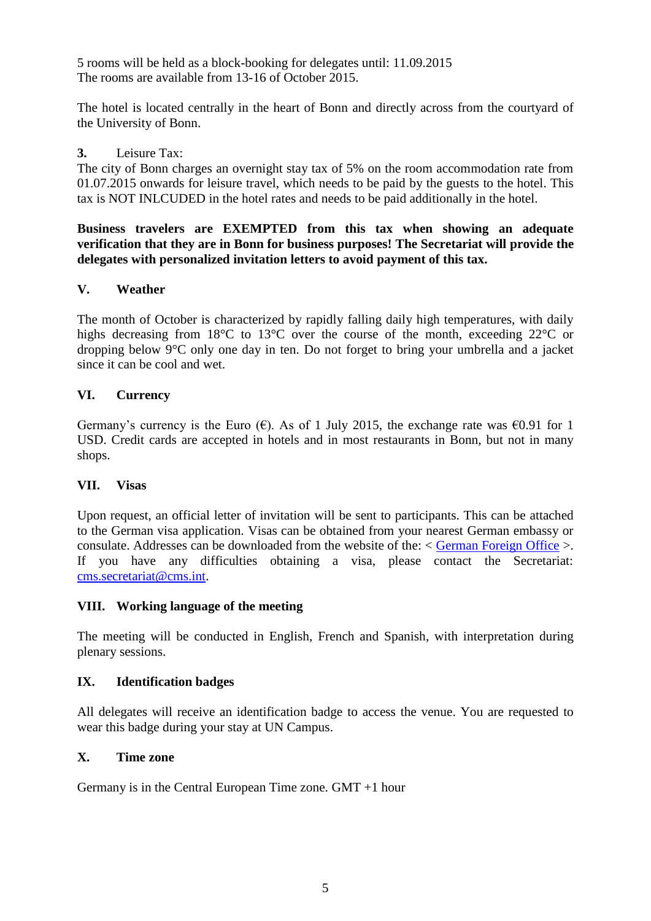5 rooms will be held as a block-booking for delegates until: 11.09.2015 The rooms are available from 13-16 of October 2015.

The hotel is located centrally in the heart of Bonn and directly across from the courtyard of the University of Bonn.

#### **3.** Leisure Tax:

The city of Bonn charges an overnight stay tax of 5% on the room accommodation rate from 01.07.2015 onwards for leisure travel, which needs to be paid by the guests to the hotel. This tax is NOT INLCUDED in the hotel rates and needs to be paid additionally in the hotel.

**Business travelers are EXEMPTED from this tax when showing an adequate verification that they are in Bonn for business purposes! The Secretariat will provide the delegates with personalized invitation letters to avoid payment of this tax.**

### **V. Weather**

The month of October is characterized by rapidly falling daily high temperatures, with daily highs decreasing from 18°C to 13°C over the course of the month, exceeding 22°C or dropping below 9°C only one day in ten. Do not forget to bring your umbrella and a jacket since it can be cool and wet.

### **VI. Currency**

Germany's currency is the Euro ( $\epsilon$ ). As of 1 July 2015, the exchange rate was  $\epsilon$ 0.91 for 1 USD. Credit cards are accepted in hotels and in most restaurants in Bonn, but not in many shops.

#### **VII. Visas**

Upon request, an official letter of invitation will be sent to participants. This can be attached to the German visa application. Visas can be obtained from your nearest German embassy or consulate. Addresses can be downloaded from the website of the: < [German Foreign Office](http://www.auswaertiges-amt.de/EN/EinreiseUndAufenthalt/Visabestimmungen_node.html) >. If you have any difficulties obtaining a visa, please contact the Secretariat: [cms.secretariat@cms.int.](mailto:cms.secretariat@cms.int)

#### **VIII. Working language of the meeting**

The meeting will be conducted in English, French and Spanish, with interpretation during plenary sessions.

#### **IX. Identification badges**

All delegates will receive an identification badge to access the venue. You are requested to wear this badge during your stay at UN Campus.

#### **X. Time zone**

Germany is in the Central European Time zone. GMT +1 hour